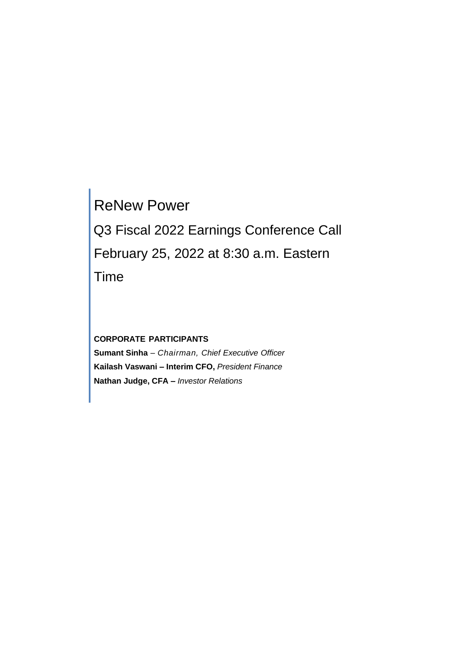# ReNew Power Q3 Fiscal 2022 Earnings Conference Call February 25, 2022 at 8:30 a.m. Eastern Time

**CORPORATE PARTICIPANTS Sumant Sinha** *– Chairman, Chief Executive Officer* **Kailash Vaswani – Interim CFO,** *President Finance* **Nathan Judge, CFA –** *Investor Relations*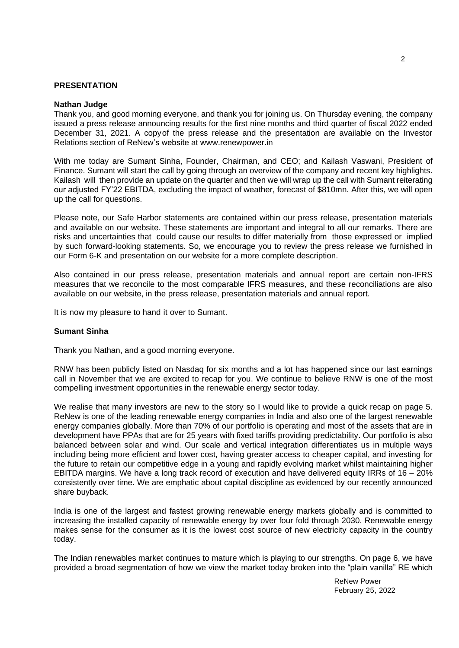## **PRESENTATION**

#### **Nathan Judge**

Thank you, and good morning everyone, and thank you for joining us. On Thursday evening, the company issued a press release announcing results for the first nine months and third quarter of fiscal 2022 ended December 31, 2021. A copyof the press release and the presentation are available on the Investor Relations section of ReNew's website at www.renewpower.in

With me today are Sumant Sinha, Founder, Chairman, and CEO; and Kailash Vaswani, President of Finance. Sumant will start the call by going through an overview of the company and recent key highlights. Kailash will then provide an update on the quarter and then we will wrap up the call with Sumant reiterating our adjusted FY'22 EBITDA, excluding the impact of weather, forecast of \$810mn. After this, we will open up the call for questions.

Please note, our Safe Harbor statements are contained within our press release, presentation materials and available on our website. These statements are important and integral to all our remarks. There are risks and uncertainties that could cause our results to differ materially from those expressed or implied by such forward-looking statements. So, we encourage you to review the press release we furnished in our Form 6-K and presentation on our website for a more complete description.

Also contained in our press release, presentation materials and annual report are certain non-IFRS measures that we reconcile to the most comparable IFRS measures, and these reconciliations are also available on our website, in the press release, presentation materials and annual report.

It is now my pleasure to hand it over to Sumant.

#### **Sumant Sinha**

Thank you Nathan, and a good morning everyone.

RNW has been publicly listed on Nasdaq for six months and a lot has happened since our last earnings call in November that we are excited to recap for you. We continue to believe RNW is one of the most compelling investment opportunities in the renewable energy sector today.

We realise that many investors are new to the story so I would like to provide a quick recap on page 5. ReNew is one of the leading renewable energy companies in India and also one of the largest renewable energy companies globally. More than 70% of our portfolio is operating and most of the assets that are in development have PPAs that are for 25 years with fixed tariffs providing predictability. Our portfolio is also balanced between solar and wind. Our scale and vertical integration differentiates us in multiple ways including being more efficient and lower cost, having greater access to cheaper capital, and investing for the future to retain our competitive edge in a young and rapidly evolving market whilst maintaining higher EBITDA margins. We have a long track record of execution and have delivered equity IRRs of 16 – 20% consistently over time. We are emphatic about capital discipline as evidenced by our recently announced share buyback.

India is one of the largest and fastest growing renewable energy markets globally and is committed to increasing the installed capacity of renewable energy by over four fold through 2030. Renewable energy makes sense for the consumer as it is the lowest cost source of new electricity capacity in the country today.

The Indian renewables market continues to mature which is playing to our strengths. On page 6, we have provided a broad segmentation of how we view the market today broken into the "plain vanilla" RE which

2

ReNew Power February 25, 2022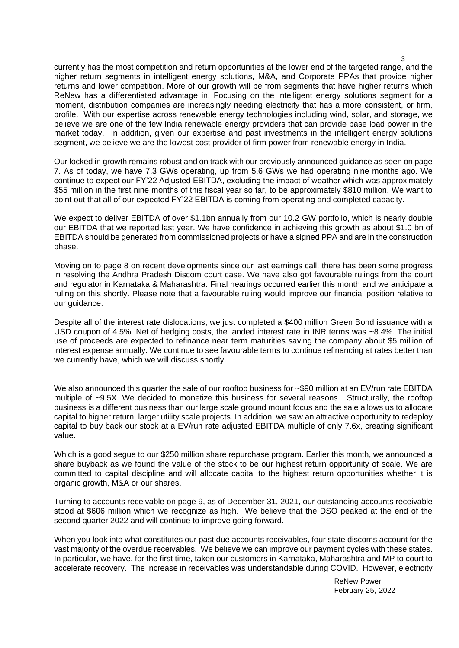currently has the most competition and return opportunities at the lower end of the targeted range, and the higher return segments in intelligent energy solutions, M&A, and Corporate PPAs that provide higher returns and lower competition. More of our growth will be from segments that have higher returns which ReNew has a differentiated advantage in. Focusing on the intelligent energy solutions segment for a moment, distribution companies are increasingly needing electricity that has a more consistent, or firm, profile. With our expertise across renewable energy technologies including wind, solar, and storage, we believe we are one of the few India renewable energy providers that can provide base load power in the market today. In addition, given our expertise and past investments in the intelligent energy solutions segment, we believe we are the lowest cost provider of firm power from renewable energy in India.

Our locked in growth remains robust and on track with our previously announced guidance as seen on page 7. As of today, we have 7.3 GWs operating, up from 5.6 GWs we had operating nine months ago. We continue to expect our FY'22 Adjusted EBITDA, excluding the impact of weather which was approximately \$55 million in the first nine months of this fiscal year so far, to be approximately \$810 million. We want to point out that all of our expected FY'22 EBITDA is coming from operating and completed capacity.

We expect to deliver EBITDA of over \$1.1bn annually from our 10.2 GW portfolio, which is nearly double our EBITDA that we reported last year. We have confidence in achieving this growth as about \$1.0 bn of EBITDA should be generated from commissioned projects or have a signed PPA and are in the construction phase.

Moving on to page 8 on recent developments since our last earnings call, there has been some progress in resolving the Andhra Pradesh Discom court case. We have also got favourable rulings from the court and regulator in Karnataka & Maharashtra. Final hearings occurred earlier this month and we anticipate a ruling on this shortly. Please note that a favourable ruling would improve our financial position relative to our guidance.

Despite all of the interest rate dislocations, we just completed a \$400 million Green Bond issuance with a USD coupon of 4.5%. Net of hedging costs, the landed interest rate in INR terms was ~8.4%. The initial use of proceeds are expected to refinance near term maturities saving the company about \$5 million of interest expense annually. We continue to see favourable terms to continue refinancing at rates better than we currently have, which we will discuss shortly.

We also announced this quarter the sale of our rooftop business for ~\$90 million at an EV/run rate EBITDA multiple of ~9.5X. We decided to monetize this business for several reasons. Structurally, the rooftop business is a different business than our large scale ground mount focus and the sale allows us to allocate capital to higher return, larger utility scale projects. In addition, we saw an attractive opportunity to redeploy capital to buy back our stock at a EV/run rate adjusted EBITDA multiple of only 7.6x, creating significant value.

Which is a good segue to our \$250 million share repurchase program. Earlier this month, we announced a share buyback as we found the value of the stock to be our highest return opportunity of scale. We are committed to capital discipline and will allocate capital to the highest return opportunities whether it is organic growth, M&A or our shares.

Turning to accounts receivable on page 9, as of December 31, 2021, our outstanding accounts receivable stood at \$606 million which we recognize as high. We believe that the DSO peaked at the end of the second quarter 2022 and will continue to improve going forward.

When you look into what constitutes our past due accounts receivables, four state discoms account for the vast majority of the overdue receivables. We believe we can improve our payment cycles with these states. In particular, we have, for the first time, taken our customers in Karnataka, Maharashtra and MP to court to accelerate recovery. The increase in receivables was understandable during COVID. However, electricity

> ReNew Power February 25, 2022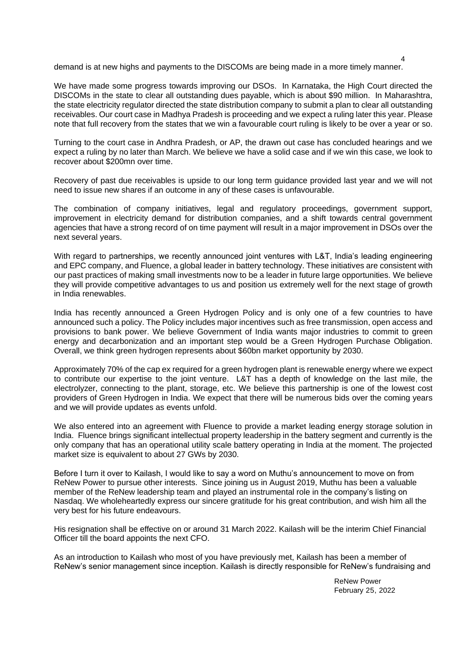demand is at new highs and payments to the DISCOMs are being made in a more timely manner.

We have made some progress towards improving our DSOs. In Karnataka, the High Court directed the DISCOMs in the state to clear all outstanding dues payable, which is about \$90 million. In Maharashtra, the state electricity regulator directed the state distribution company to submit a plan to clear all outstanding receivables. Our court case in Madhya Pradesh is proceeding and we expect a ruling later this year. Please note that full recovery from the states that we win a favourable court ruling is likely to be over a year or so.

Turning to the court case in Andhra Pradesh, or AP, the drawn out case has concluded hearings and we expect a ruling by no later than March. We believe we have a solid case and if we win this case, we look to recover about \$200mn over time.

Recovery of past due receivables is upside to our long term guidance provided last year and we will not need to issue new shares if an outcome in any of these cases is unfavourable.

The combination of company initiatives, legal and regulatory proceedings, government support, improvement in electricity demand for distribution companies, and a shift towards central government agencies that have a strong record of on time payment will result in a major improvement in DSOs over the next several years.

With regard to partnerships, we recently announced joint ventures with L&T, India's leading engineering and EPC company, and Fluence, a global leader in battery technology. These initiatives are consistent with our past practices of making small investments now to be a leader in future large opportunities. We believe they will provide competitive advantages to us and position us extremely well for the next stage of growth in India renewables.

India has recently announced a Green Hydrogen Policy and is only one of a few countries to have announced such a policy. The Policy includes major incentives such as free transmission, open access and provisions to bank power. We believe Government of India wants major industries to commit to green energy and decarbonization and an important step would be a Green Hydrogen Purchase Obligation. Overall, we think green hydrogen represents about \$60bn market opportunity by 2030.

Approximately 70% of the cap ex required for a green hydrogen plant is renewable energy where we expect to contribute our expertise to the joint venture. L&T has a depth of knowledge on the last mile, the electrolyzer, connecting to the plant, storage, etc. We believe this partnership is one of the lowest cost providers of Green Hydrogen in India. We expect that there will be numerous bids over the coming years and we will provide updates as events unfold.

We also entered into an agreement with Fluence to provide a market leading energy storage solution in India. Fluence brings significant intellectual property leadership in the battery segment and currently is the only company that has an operational utility scale battery operating in India at the moment. The projected market size is equivalent to about 27 GWs by 2030.

Before I turn it over to Kailash, I would like to say a word on Muthu's announcement to move on from ReNew Power to pursue other interests. Since joining us in August 2019, Muthu has been a valuable member of the ReNew leadership team and played an instrumental role in the company's listing on Nasdaq. We wholeheartedly express our sincere gratitude for his great contribution, and wish him all the very best for his future endeavours.

His resignation shall be effective on or around 31 March 2022. Kailash will be the interim Chief Financial Officer till the board appoints the next CFO.

As an introduction to Kailash who most of you have previously met, Kailash has been a member of ReNew's senior management since inception. Kailash is directly responsible for ReNew's fundraising and

> ReNew Power February 25, 2022

4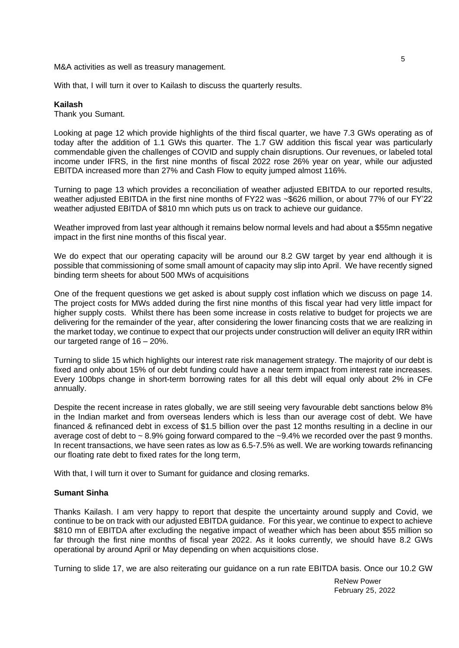M&A activities as well as treasury management.

With that, I will turn it over to Kailash to discuss the quarterly results.

### **Kailash**

Thank you Sumant.

Looking at page 12 which provide highlights of the third fiscal quarter, we have 7.3 GWs operating as of today after the addition of 1.1 GWs this quarter. The 1.7 GW addition this fiscal year was particularly commendable given the challenges of COVID and supply chain disruptions. Our revenues, or labeled total income under IFRS, in the first nine months of fiscal 2022 rose 26% year on year, while our adjusted EBITDA increased more than 27% and Cash Flow to equity jumped almost 116%.

Turning to page 13 which provides a reconciliation of weather adjusted EBITDA to our reported results, weather adjusted EBITDA in the first nine months of FY22 was ~\$626 million, or about 77% of our FY'22 weather adjusted EBITDA of \$810 mn which puts us on track to achieve our guidance.

Weather improved from last year although it remains below normal levels and had about a \$55mn negative impact in the first nine months of this fiscal year.

We do expect that our operating capacity will be around our 8.2 GW target by year end although it is possible that commissioning of some small amount of capacity may slip into April. We have recently signed binding term sheets for about 500 MWs of acquisitions

One of the frequent questions we get asked is about supply cost inflation which we discuss on page 14. The project costs for MWs added during the first nine months of this fiscal year had very little impact for higher supply costs. Whilst there has been some increase in costs relative to budget for projects we are delivering for the remainder of the year, after considering the lower financing costs that we are realizing in the market today, we continue to expect that our projects under construction will deliver an equity IRR within our targeted range of 16 – 20%.

Turning to slide 15 which highlights our interest rate risk management strategy. The majority of our debt is fixed and only about 15% of our debt funding could have a near term impact from interest rate increases. Every 100bps change in short-term borrowing rates for all this debt will equal only about 2% in CFe annually.

Despite the recent increase in rates globally, we are still seeing very favourable debt sanctions below 8% in the Indian market and from overseas lenders which is less than our average cost of debt. We have financed & refinanced debt in excess of \$1.5 billion over the past 12 months resulting in a decline in our average cost of debt to  $\sim$  8.9% going forward compared to the  $\sim$  9.4% we recorded over the past 9 months. In recent transactions, we have seen rates as low as 6.5-7.5% as well. We are working towards refinancing our floating rate debt to fixed rates for the long term,

With that, I will turn it over to Sumant for guidance and closing remarks.

# **Sumant Sinha**

Thanks Kailash. I am very happy to report that despite the uncertainty around supply and Covid, we continue to be on track with our adjusted EBITDA guidance. For this year, we continue to expect to achieve \$810 mn of EBITDA after excluding the negative impact of weather which has been about \$55 million so far through the first nine months of fiscal year 2022. As it looks currently, we should have 8.2 GWs operational by around April or May depending on when acquisitions close.

Turning to slide 17, we are also reiterating our guidance on a run rate EBITDA basis. Once our 10.2 GW

ReNew Power February 25, 2022